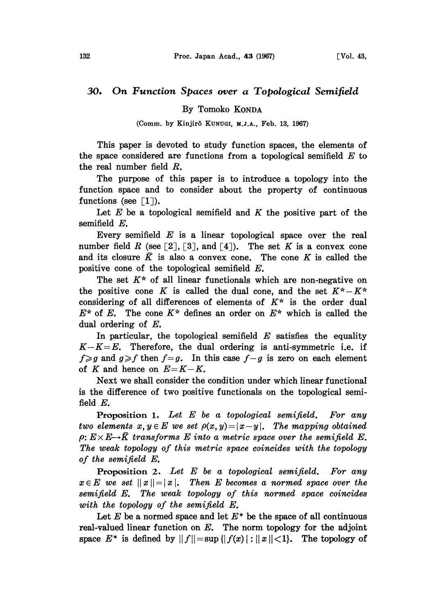## 30. On Function Spaces over a Topological Semifield

By Tomoko KONDA

(Comm. by Kinjirô KUNUGI, M.J.A., Feb. 13, 1967)

This paper is devoted to study function spaces, the elements of the space considered are functions from a topological semifield  $E$  to the real number field R.

The purpose of this paper is to introduce a topology into the function space and to consider about the property of continuous functions (see  $\lceil 1 \rceil$ ).

Let  $E$  be a topological semifield and  $K$  the positive part of the semifield  $E$ .

Every semifield  $E$  is a linear topological space over the real number field R (see [2], [3], and [4]). The set K is a convex cone and its closure  $\overline{K}$  is also a convex cone. The cone K is called the positive cone of the topological semifield E.

The set  $K^*$  of all linear functionals which are non-negative on the positive cone K is called the dual cone, and the set  $K^* - K^*$ considering of all differences of elements of  $K^*$  is the order dual  $E^*$  of E. The cone  $K^*$  defines an order on  $E^*$  which is called the dual ordering of  $E$ .

In particular, the topological semifield  $E$  satisfies the equality  $K-K=E$ . Therefore, the dual ordering is anti-symmetric i.e. if  $f \geq g$  and  $g \geq f$  then  $f = g$ . In this case  $f - g$  is zero on each element of K and hence on  $E=K-K$ .

Next we shall consider the condition under which linear functional is the difference of two positive functionals on the topological semifield E.

**Proposition 1.** Let  $E$  be a topological semifield. For any two elements  $x, y \in E$  we set  $\rho(x, y) = |x - y|$ . The mapping obtained  $\rho: E \times E \rightarrow \overline{K}$  transforms  $E$  into a metric space over the semifield  $E$ . The weak topology of this metric space coincides with the topology of the semifield E.

**Proposition 2.** Let  $E$  be a topological semifield. For any  $x \in E$  we set  $||x|| = |x|$ . Then E becomes a normed space over the semifield E. The weak topology of this normed space coincides with the topology of the semifield E.

Let  $E$  be a normed space and let  $E^*$  be the space of all continuous real-valued linear function on  $E$ . The norm topology for the adjoint space  $E^*$  is defined by  $||f|| = \sup{||f(x)| : ||x|| < 1}$ . The topology of